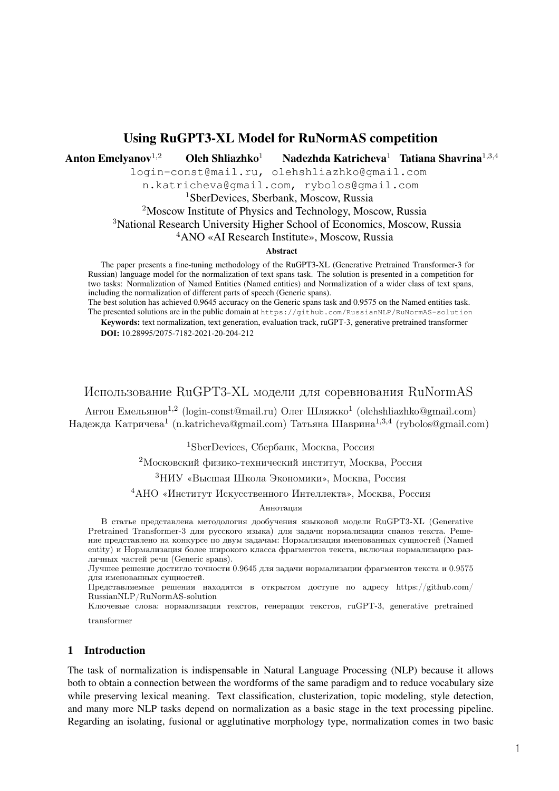# Using RuGPT3-XL Model for RuNormAS competition

Anton Emelyanov<sup>1,2</sup> Oleh Shliazhko<sup>1</sup> Nadezhda Katricheva<sup>1</sup> Tatiana Shavrina<sup>1,3,4</sup>

login-const@mail.ru, olehshliazhko@gmail.com

n.katricheva@gmail.com, rybolos@gmail.com

<sup>1</sup>SberDevices, Sberbank, Moscow, Russia

<sup>2</sup>Moscow Institute of Physics and Technology, Moscow, Russia

<sup>3</sup>National Research University Higher School of Economics, Moscow, Russia

<sup>4</sup>ANO «AI Research Institute», Moscow, Russia

#### Abstract

The paper presents a fine-tuning methodology of the RuGPT3-XL (Generative Pretrained Transformer-3 for Russian) language model for the normalization of text spans task. The solution is presented in a competition for two tasks: Normalization of Named Entities (Named entities) and Normalization of a wider class of text spans, including the normalization of different parts of speech (Generic spans).

The best solution has achieved 0.9645 accuracy on the Generic spans task and 0.9575 on the Named entities task. The presented solutions are in the public domain at https://github.com/RussianNLP/RuNormAS-solution **Keywords:** text normalization, text generation, evaluation track, ruGPT-3, generative pretrained transformer

**DOI:** 10.28995/2075-7182-2021-20-204-212

## Использование RuGPT3-XL модели для соревнования RuNormAS

Антон Емельянов<sup>1,2</sup> (login-const@mail.ru) Олег Шляжко<sup>1</sup> (olehshliazhko@gmail.com) Надежда Катричева<sup>1</sup> (n.katricheva@gmail.com) Татьяна Шаврина<sup>1,3,4</sup> (rybolos@gmail.com)

<sup>1</sup>SberDevices, Сбербанк, Москва, Россия

<sup>2</sup>Московский физико-технический институт, Москва, Россия

<sup>3</sup>НИУ «Высшая Школа Экономики», Москва, Россия

<sup>4</sup>АНО «Институт Искусственного Интеллекта», Москва, Россия

#### Аннотация

В статье представлена методология дообучения языковой модели RuGPT3-XL (Generative Pretrained Transformer-3 для русского языка) для задачи нормализации спанов текста. Решение представлено на конкурсе по двум задачам: Нормализация именованных сущностей (Named entity) и Нормализация более широкого класса фрагментов текста, включая нормализацию различных частей речи (Generic spans).

Лучшее решение достигло точности 0.9645 для задачи нормализации фрагментов текста и 0.9575 для именованных сущностей.

Представляемые решения находятся в открытом доступе по адресу https://github.com/ RussianNLP/RuNormAS-solution

Ключевые слова: нормализация текстов, генерация текстов, ruGPT-3, generative pretrained transformer

#### 1 Introduction

The task of normalization is indispensable in Natural Language Processing (NLP) because it allows both to obtain a connection between the wordforms of the same paradigm and to reduce vocabulary size while preserving lexical meaning. Text classification, clusterization, topic modeling, style detection, and many more NLP tasks depend on normalization as a basic stage in the text processing pipeline. Regarding an isolating, fusional or agglutinative morphology type, normalization comes in two basic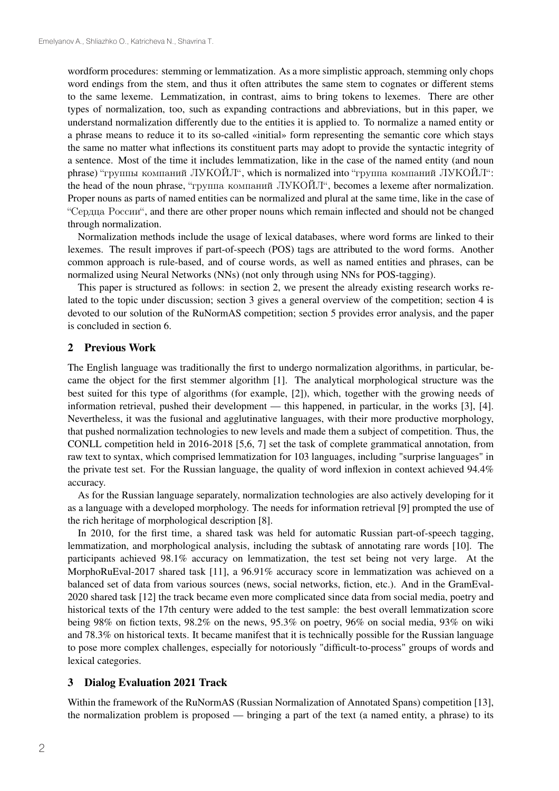wordform procedures: stemming or lemmatization. As a more simplistic approach, stemming only chops word endings from the stem, and thus it often attributes the same stem to cognates or different stems to the same lexeme. Lemmatization, in contrast, aims to bring tokens to lexemes. There are other types of normalization, too, such as expanding contractions and abbreviations, but in this paper, we understand normalization differently due to the entities it is applied to. To normalize a named entity or a phrase means to reduce it to its so-called «initial» form representing the semantic core which stays the same no matter what inflections its constituent parts may adopt to provide the syntactic integrity of a sentence. Most of the time it includes lemmatization, like in the case of the named entity (and noun phrase) "группы компаний ЛУКОЙЛ", which is normalized into "группа компаний ЛУКОЙЛ": the head of the noun phrase, "группа компаний ЛУКОЙЛ", becomes a lexeme after normalization. Proper nouns as parts of named entities can be normalized and plural at the same time, like in the case of "Сердца России", and there are other proper nouns which remain inflected and should not be changed through normalization.

Normalization methods include the usage of lexical databases, where word forms are linked to their lexemes. The result improves if part-of-speech (POS) tags are attributed to the word forms. Another common approach is rule-based, and of course words, as well as named entities and phrases, can be normalized using Neural Networks (NNs) (not only through using NNs for POS-tagging).

This paper is structured as follows: in section 2, we present the already existing research works related to the topic under discussion; section 3 gives a general overview of the competition; section 4 is devoted to our solution of the RuNormAS competition; section 5 provides error analysis, and the paper is concluded in section 6.

#### 2 Previous Work

The English language was traditionally the first to undergo normalization algorithms, in particular, became the object for the first stemmer algorithm [1]. The analytical morphological structure was the best suited for this type of algorithms (for example, [2]), which, together with the growing needs of information retrieval, pushed their development — this happened, in particular, in the works [3], [4]. Nevertheless, it was the fusional and agglutinative languages, with their more productive morphology, that pushed normalization technologies to new levels and made them a subject of competition. Thus, the CONLL competition held in 2016-2018 [5,6, 7] set the task of complete grammatical annotation, from raw text to syntax, which comprised lemmatization for 103 languages, including "surprise languages" in the private test set. For the Russian language, the quality of word inflexion in context achieved 94.4% accuracy.

As for the Russian language separately, normalization technologies are also actively developing for it as a language with a developed morphology. The needs for information retrieval [9] prompted the use of the rich heritage of morphological description [8].

In 2010, for the first time, a shared task was held for automatic Russian part-of-speech tagging, lemmatization, and morphological analysis, including the subtask of annotating rare words [10]. The participants achieved 98.1% accuracy on lemmatization, the test set being not very large. At the MorphoRuEval-2017 shared task [11], a 96.91% accuracy score in lemmatization was achieved on a balanced set of data from various sources (news, social networks, fiction, etc.). And in the GramEval-2020 shared task [12] the track became even more complicated since data from social media, poetry and historical texts of the 17th century were added to the test sample: the best overall lemmatization score being 98% on fiction texts, 98.2% on the news, 95.3% on poetry, 96% on social media, 93% on wiki and 78.3% on historical texts. It became manifest that it is technically possible for the Russian language to pose more complex challenges, especially for notoriously "difficult-to-process" groups of words and lexical categories.

### 3 Dialog Evaluation 2021 Track

Within the framework of the RuNormAS (Russian Normalization of Annotated Spans) competition [13], the normalization problem is proposed — bringing a part of the text (a named entity, a phrase) to its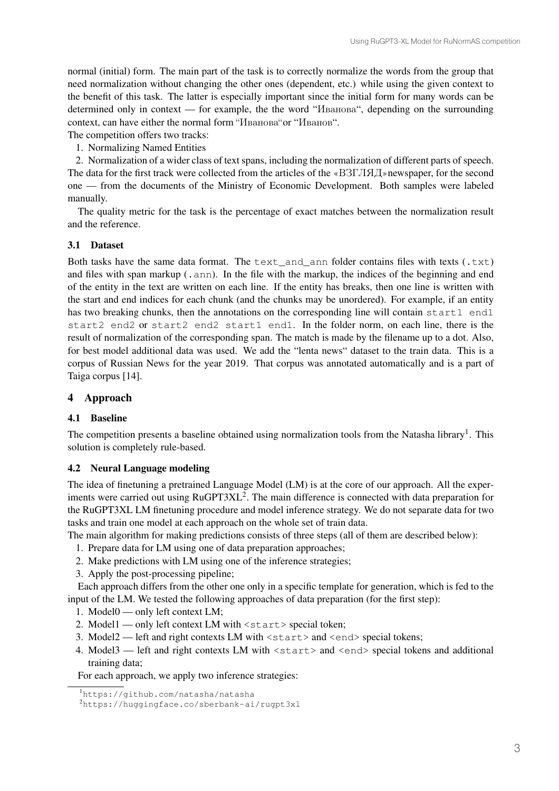normal (initial) form. The main part of the task is to correctly normalize the words from the group that need normalization without changing the other ones (dependent, etc.) while using the given context to the benefit of this task. The latter is especially important since the initial form for many words can be determined only in context — for example, the the word "Иванова", depending on the surrounding context, can have either the normal form "Иванова"or "Иванов".

The competition offers two tracks:

1. Normalizing Named Entities

2. Normalization of a wider class of text spans, including the normalization of different parts of speech. The data for the first track were collected from the articles of the «B3FJIA]» newspaper, for the second one — from the documents of the Ministry of Economic Development. Both samples were labeled manually.

The quality metric for the task is the percentage of exact matches between the normalization result and the reference.

## 3.1 Dataset

Both tasks have the same data format. The  $text$ <sub>c</sub>and\_ann folder contains files with texts  $(.txt)$ and files with span markup  $($ ,  $ann)$ . In the file with the markup, the indices of the beginning and end of the entity in the text are written on each line. If the entity has breaks, then one line is written with the start and end indices for each chunk (and the chunks may be unordered). For example, if an entity has two breaking chunks, then the annotations on the corresponding line will contain start1 end1 start2 end2 or start2 end2 start1 end1. In the folder norm, on each line, there is the result of normalization of the corresponding span. The match is made by the filename up to a dot. Also, for best model additional data was used. We add the "lenta news" dataset to the train data. This is a corpus of Russian News for the year 2019. That corpus was annotated automatically and is a part of Taiga corpus [14].

## 4 Approach

## 4.1 Baseline

The competition presents a baseline obtained using normalization tools from the Natasha library<sup>1</sup>. This solution is completely rule-based.

### 4.2 Neural Language modeling

The idea of finetuning a pretrained Language Model (LM) is at the core of our approach. All the experiments were carried out using RuGPT3XL<sup>2</sup>. The main difference is connected with data preparation for the RuGPT3XL LM finetuning procedure and model inference strategy. We do not separate data for two tasks and train one model at each approach on the whole set of train data.

The main algorithm for making predictions consists of three steps (all of them are described below):

- 1. Prepare data for LM using one of data preparation approaches;
- 2. Make predictions with LM using one of the inference strategies;
- 3. Apply the post-processing pipeline;

Each approach differs from the other one only in a specific template for generation, which is fed to the input of the LM. We tested the following approaches of data preparation (for the first step):

- 1. Model0 only left context LM;
- 2. Model1 only left context LM with <start> special token;
- 3. Model2 left and right contexts LM with <start> and <end> special tokens;
- 4. Model3 left and right contexts LM with  $\langle$  start> and  $\langle$  end> special tokens and additional training data;

For each approach, we apply two inference strategies:

<sup>1</sup> https://github.com/natasha/natasha

<sup>2</sup> https://huggingface.co/sberbank-ai/rugpt3xl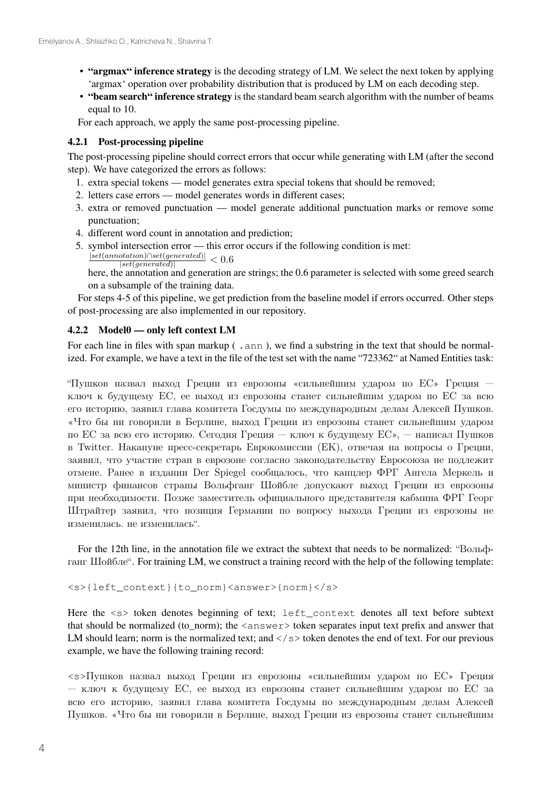- "argmax" inference strategy is the decoding strategy of LM. We select the next token by applying 'argmax' operation over probability distribution that is produced by LM on each decoding step.
- "beam search" inference strategy is the standard beam search algorithm with the number of beams equal to 10.

For each approach, we apply the same post-processing pipeline.

### 4.2.1 Post-processing pipeline

The post-processing pipeline should correct errors that occur while generating with LM (after the second step). We have categorized the errors as follows:

- 1. extra special tokens model generates extra special tokens that should be removed;
- 2. letters case errors model generates words in different cases;
- 3. extra or removed punctuation model generate additional punctuation marks or remove some punctuation;
- 4. different word count in annotation and prediction;
- 5. symbol intersection error this error occurs if the following condition is met:  $|set(annotation) \cap set(generated)|$ 
	- $\frac{rotation|\triangle set(generated)|}{|set(generated)|} < 0.6$

here, the annotation and generation are strings; the 0.6 parameter is selected with some greed search on a subsample of the training data.

For steps 4-5 of this pipeline, we get prediction from the baseline model if errors occurred. Other steps of post-processing are also implemented in our repository.

#### 4.2.2 Model0 — only left context LM

For each line in files with span markup (, ann ), we find a substring in the text that should be normalized. For example, we have a text in the file of the test set with the name "723362" at Named Entities task:

"Пушков назвал выход Греции из еврозоны «сильнейшим ударом по ЕС» Греция ключ к будущему ЕС, ее выход из еврозоны станет сильнейшим ударом по ЕС за всю его историю, заявил глава комитета Госдумы по международным делам Алексей Пушков. «Что бы ни говорили в Берлине, выход Греции из еврозоны станет сильнейшим ударом по ЕС за всю его историю. Сегодня Греция — ключ к будущему ЕС», — написал Пушков в Twitter. Накануне пресс-секретарь Еврокомиссии (ЕК), отвечая на вопросы о Греции, заявил, что участие стран в еврозоне согласно законодательству Евросоюза не подлежит отмене. Ранее в издании Der Spiegel сообщалось, что канцлер ФРГ Ангела Меркель и министр финансов страны Вольфганг Шойбле допускают выход Греции из еврозоны при необходимости. Позже заместитель официального представителя кабмина ФРГ Георг Штрайтер заявил, что позиция Германии по вопросу выхода Греции из еврозоны не изменилась. не изменилась".

For the 12th line, in the annotation file we extract the subtext that needs to be normalized: "Вольфганг Шойбле". For training LM, we construct a training record with the help of the following template:

```
<s>{left_context}{to_norm}<answer>{norm}</s>
```
Here the  $\langle s \rangle$  token denotes beginning of text; left\_context denotes all text before subtext that should be normalized (to\_norm); the <answer> token separates input text prefix and answer that LM should learn; norm is the normalized text; and  $\langle$ / $\rangle$ s token denotes the end of text. For our previous example, we have the following training record:

<s>Пушков назвал выход Греции из еврозоны «сильнейшим ударом по EC» Греция — ключ к будущему ЕС, ее выход из еврозоны станет сильнейшим ударом по ЕС за всю его историю, заявил глава комитета Госдумы по международным делам Алексей Пушков. «Что бы ни говорили в Берлине, выход Греции из еврозоны станет сильнейшим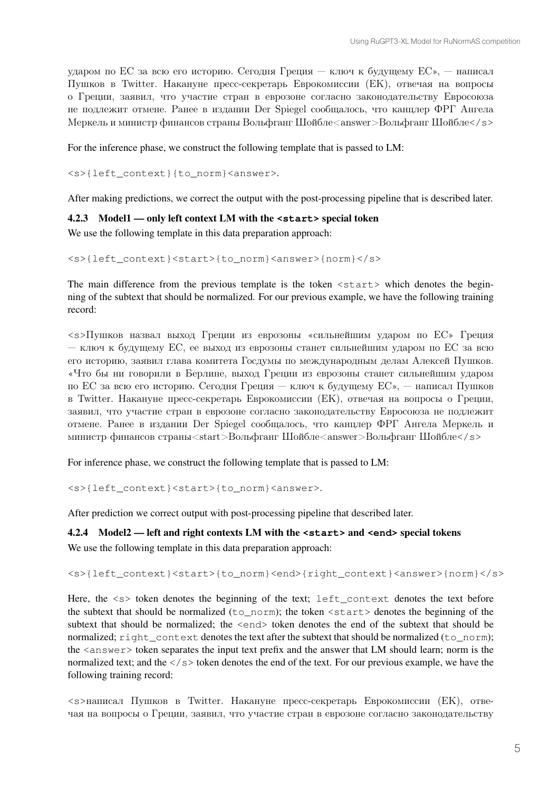ударом по ЕС за всю его историю. Сегодня Греция — ключ к будущему ЕС», — написал Пушков в Twitter. Накануне пресс-секретарь Еврокомиссии (ЕК), отвечая на вопросы о Греции, заявил, что участие стран в еврозоне согласно законодательству Евросоюза не подлежит отмене. Ранее в издании Der Spiegel сообщалось, что канцлер ФРГ Ангела Меркель и министр финансов страны Вольфганг Шойбле<answer>Вольфганг Шойбле</s>

For the inference phase, we construct the following template that is passed to LM:

<s>{left\_context}{to\_norm}<answer>.

After making predictions, we correct the output with the post-processing pipeline that is described later.

### 4.2.3 Model1 — only left context LM with the **<start>** special token

We use the following template in this data preparation approach:

<s>{left\_context}<start>{to\_norm}<answer>{norm}</s>

The main difference from the previous template is the token  $\leq$  tart $\geq$  which denotes the beginning of the subtext that should be normalized. For our previous example, we have the following training record:

<s>Пушков назвал выход Греции из еврозоны «сильнейшим ударом по EC» Греция — ключ к будущему ЕС, ее выход из еврозоны станет сильнейшим ударом по ЕС за всю его историю, заявил глава комитета Госдумы по международным делам Алексей Пушков. «Что бы ни говорили в Берлине, выход Греции из еврозоны станет сильнейшим ударом по ЕС за всю его историю. Сегодня Греция — ключ к будущему ЕС», — написал Пушков в Twitter. Накануне пресс-секретарь Еврокомиссии (ЕК), отвечая на вопросы о Греции, заявил, что участие стран в еврозоне согласно законодательству Евросоюза не подлежит отмене. Ранее в издании Der Spiegel сообщалось, что канцлер ФРГ Ангела Меркель и министр финансов страны<start>Вольфганг Шойбле<answer>Вольфганг Шойбле</s>

For inference phase, we construct the following template that is passed to LM:

<s>{left\_context}<start>{to\_norm}<answer>.

After prediction we correct output with post-processing pipeline that described later.

### 4.2.4 Model2 — left and right contexts LM with the **<start>** and **<end>** special tokens

We use the following template in this data preparation approach:

<s>{left\_context}<start>{to\_norm}<end>{right\_context}<answer>{norm}</s>

Here, the  $\langle s \rangle$  token denotes the beginning of the text; left\_context denotes the text before the subtext that should be normalized  $(t_0 \text{norm})$ ; the token  $\langle$ start $\rangle$  denotes the beginning of the subtext that should be normalized; the  $\leq$ end> token denotes the end of the subtext that should be normalized;  $right_countext$  denotes the text after the subtext that should be normalized ( $to_norm$ ); the <answer> token separates the input text prefix and the answer that LM should learn; norm is the normalized text; and the  $\langle \rangle$  s  $>$  token denotes the end of the text. For our previous example, we have the following training record:

<s>написал Пушков в Twitter. Накануне пресс-секретарь Еврокомиссии (ЕК), отвечая на вопросы о Греции, заявил, что участие стран в еврозоне согласно законодательству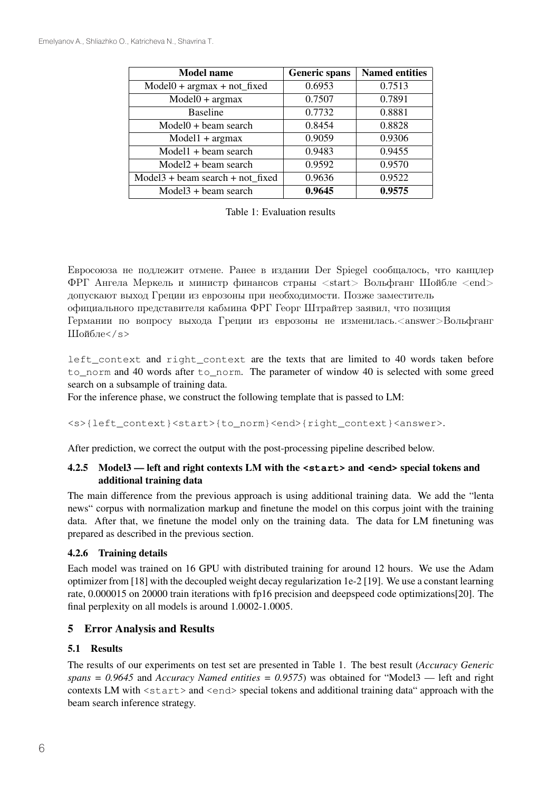| <b>Model name</b>                  | <b>Generic spans</b> | <b>Named entities</b> |
|------------------------------------|----------------------|-----------------------|
| $Model0 + argmax + not_{fixed}$    | 0.6953               | 0.7513                |
| $Model0 + argmax$                  | 0.7507               | 0.7891                |
| <b>Baseline</b>                    | 0.7732               | 0.8881                |
| $Model0 + beam search$             | 0.8454               | 0.8828                |
| $Model1 + argmax$                  | 0.9059               | 0.9306                |
| $Model1 + beam search$             | 0.9483               | 0.9455                |
| $Model2 + beam search$             | 0.9592               | 0.9570                |
| $Model3 + beam search + not fixed$ | 0.9636               | 0.9522                |
| $Model3 + beam search$             | 0.9645               | 0.9575                |

Table 1: Evaluation results

Евросоюза не подлежит отмене. Ранее в издании Der Spiegel сообщалось, что канцлер ФРГ Ангела Меркель и министр финансов страны <start> Вольфганг Шойбле <end> допускают выход Греции из еврозоны при необходимости. Позже заместитель официального представителя кабмина ФРГ Георг Штрайтер заявил, что позиция Германии по вопросу выхода Греции из еврозоны не изменилась.<answer>Вольфганг Шойбле</s>

left\_context and right\_context are the texts that are limited to 40 words taken before to\_norm and 40 words after to\_norm. The parameter of window 40 is selected with some greed search on a subsample of training data.

For the inference phase, we construct the following template that is passed to LM:

<s>{left\_context}<start>{to\_norm}<end>{right\_context}<answer>.

After prediction, we correct the output with the post-processing pipeline described below.

## 4.2.5 Model3 — left and right contexts LM with the **<start>** and **<end>** special tokens and additional training data

The main difference from the previous approach is using additional training data. We add the "lenta news" corpus with normalization markup and finetune the model on this corpus joint with the training data. After that, we finetune the model only on the training data. The data for LM finetuning was prepared as described in the previous section.

## 4.2.6 Training details

Each model was trained on 16 GPU with distributed training for around 12 hours. We use the Adam optimizer from [18] with the decoupled weight decay regularization 1e-2 [19]. We use a constant learning rate, 0.000015 on 20000 train iterations with fp16 precision and deepspeed code optimizations[20]. The final perplexity on all models is around 1.0002-1.0005.

## 5 Error Analysis and Results

## 5.1 Results

The results of our experiments on test set are presented in Table 1. The best result (*Accuracy Generic spans = 0.9645* and *Accuracy Named entities = 0.9575*) was obtained for "Model3 — left and right contexts LM with  $\langle$ start $\rangle$  and  $\langle$ end $\rangle$  special tokens and additional training data" approach with the beam search inference strategy.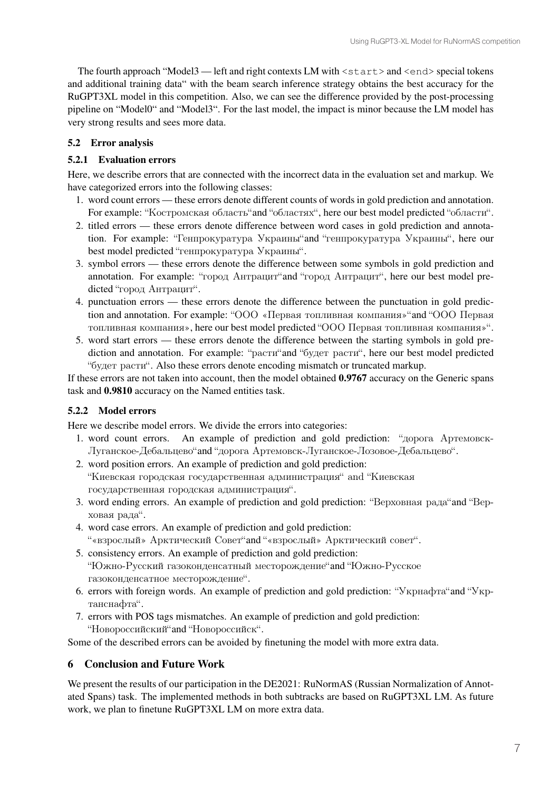The fourth approach "Model3 — left and right contexts LM with  $\langle$  start  $\rangle$  and  $\langle$  end $\rangle$  special tokens and additional training data" with the beam search inference strategy obtains the best accuracy for the RuGPT3XL model in this competition. Also, we can see the difference provided by the post-processing pipeline on "Model0" and "Model3". For the last model, the impact is minor because the LM model has very strong results and sees more data.

## 5.2 Error analysis

## 5.2.1 Evaluation errors

Here, we describe errors that are connected with the incorrect data in the evaluation set and markup. We have categorized errors into the following classes:

- 1. word count errors these errors denote different counts of words in gold prediction and annotation. For example: "Костромская область"and "областях", here our best model predicted "области".
- 2. titled errors these errors denote difference between word cases in gold prediction and annotation. For example: "Генпрокуратура Украины"and "генпрокуратура Украины", here our best model predicted "генпрокуратура Украины".
- 3. symbol errors these errors denote the difference between some symbols in gold prediction and annotation. For example: "город Антрацит"and "город Антрацит", here our best model predicted "город Антрацит".
- 4. punctuation errors these errors denote the difference between the punctuation in gold prediction and annotation. For example: "ООО «Первая топливная компания»"and "ООО Первая топливная компания», here our best model predicted "ООО Первая топливная компания»".
- 5. word start errors these errors denote the difference between the starting symbols in gold prediction and annotation. For example: "расти"and "будет расти", here our best model predicted "будет расти". Also these errors denote encoding mismatch or truncated markup.

If these errors are not taken into account, then the model obtained 0.9767 accuracy on the Generic spans task and 0.9810 accuracy on the Named entities task.

## 5.2.2 Model errors

Here we describe model errors. We divide the errors into categories:

- 1. word count errors. An example of prediction and gold prediction: "дорога Артемовск-Луганское-Дебальцево"and "дорога Артемовск-Луганское-Лозовое-Дебальцево".
- 2. word position errors. An example of prediction and gold prediction: "Киевская городская государственная администрация" and "Киевская государственная городская администрация".
- 3. word ending errors. An example of prediction and gold prediction: "Верховная рада"and "Верховая рада".
- 4. word case errors. An example of prediction and gold prediction: "«взрослый» Арктический Совет"and "«взрослый» Арктический совет".
- 5. consistency errors. An example of prediction and gold prediction: "Южно-Русский газоконденсатный месторождение"and "Южно-Русское газоконденсатное месторождение".
- 6. errors with foreign words. An example of prediction and gold prediction: "Укрнафта"and "Укртанснафта".
- 7. errors with POS tags mismatches. An example of prediction and gold prediction: "Новороссийский"and "Новороссийск".

Some of the described errors can be avoided by finetuning the model with more extra data.

# 6 Conclusion and Future Work

We present the results of our participation in the DE2021: RuNormAS (Russian Normalization of Annotated Spans) task. The implemented methods in both subtracks are based on RuGPT3XL LM. As future work, we plan to finetune RuGPT3XL LM on more extra data.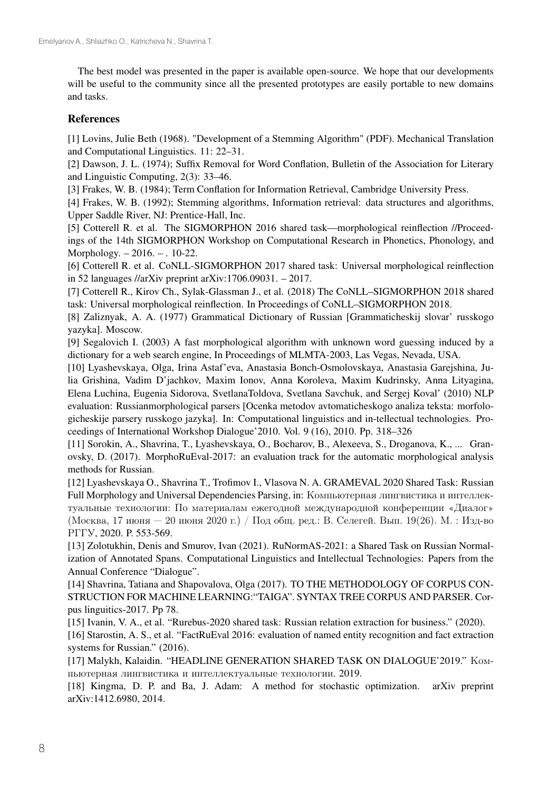The best model was presented in the paper is available open-source. We hope that our developments will be useful to the community since all the presented prototypes are easily portable to new domains and tasks.

## References

[1] Lovins, Julie Beth (1968). "Development of a Stemming Algorithm" (PDF). Mechanical Translation and Computational Linguistics. 11: 22–31.

[2] Dawson, J. L. (1974); Suffix Removal for Word Conflation, Bulletin of the Association for Literary and Linguistic Computing, 2(3): 33–46.

[3] Frakes, W. B. (1984); Term Conflation for Information Retrieval, Cambridge University Press.

[4] Frakes, W. B. (1992); Stemming algorithms, Information retrieval: data structures and algorithms, Upper Saddle River, NJ: Prentice-Hall, Inc.

[5] Cotterell R. et al. The SIGMORPHON 2016 shared task—morphological reinflection //Proceedings of the 14th SIGMORPHON Workshop on Computational Research in Phonetics, Phonology, and Morphology. – 2016. – . 10-22.

[6] Cotterell R. et al. CoNLL-SIGMORPHON 2017 shared task: Universal morphological reinflection in 52 languages //arXiv preprint arXiv:1706.09031. – 2017.

[7] Cotterell R., Kirov Ch., Sylak-Glassman J., et al. (2018) The CoNLL–SIGMORPHON 2018 shared task: Universal morphological reinflection. In Proceedings of CoNLL–SIGMORPHON 2018.

[8] Zaliznyak, A. A. (1977) Grammatical Dictionary of Russian [Grammaticheskij slovar' russkogo yazyka]. Moscow.

[9] Segalovich I. (2003) A fast morphological algorithm with unknown word guessing induced by a dictionary for a web search engine, In Proceedings of MLMTA-2003, Las Vegas, Nevada, USA.

[10] Lyashevskaya, Olga, Irina Astaf'eva, Anastasia Bonch-Osmolovskaya, Anastasia Garejshina, Julia Grishina, Vadim D'jachkov, Maxim Ionov, Anna Koroleva, Maxim Kudrinsky, Anna Lityagina, Elena Luchina, Eugenia Sidorova, SvetlanaToldova, Svetlana Savchuk, and Sergej Koval' (2010) NLP evaluation: Russianmorphological parsers [Ocenka metodov avtomaticheskogo analiza teksta: morfologicheskije parsery russkogo jazyka]. In: Computational linguistics and in-tellectual technologies. Proceedings of International Workshop Dialogue'2010. Vol. 9 (16), 2010. Pp. 318–326

[11] Sorokin, A., Shavrina, T., Lyashevskaya, O., Bocharov, B., Alexeeva, S., Droganova, K., ... Granovsky, D. (2017). MorphoRuEval-2017: an evaluation track for the automatic morphological analysis methods for Russian.

[12] Lyashevskaya O., Shavrina T., Trofimov I., Vlasova N. A. GRAMEVAL 2020 Shared Task: Russian Full Morphology and Universal Dependencies Parsing, in: Компьютерная лингвистика и интеллектуальные технологии: По материалам ежегодной международной конференции «Диалог» (Москва, 17 июня — 20 июня 2020 г.) / Под общ. ред.: В. Селегей. Вып. 19(26). М. : Изд-во РГГУ, 2020. P. 553-569.

[13] Zolotukhin, Denis and Smurov, Ivan (2021). RuNormAS-2021: a Shared Task on Russian Normalization of Annotated Spans. Computational Linguistics and Intellectual Technologies: Papers from the Annual Conference "Dialogue".

[14] Shavrina, Tatiana and Shapovalova, Olga (2017). TO THE METHODOLOGY OF CORPUS CON-STRUCTION FOR MACHINE LEARNING:"TAIGA". SYNTAX TREE CORPUS AND PARSER. Corpus linguitics-2017. Pp 78.

[15] Ivanin, V. A., et al. "Rurebus-2020 shared task: Russian relation extraction for business." (2020).

[16] Starostin, A. S., et al. "FactRuEval 2016: evaluation of named entity recognition and fact extraction systems for Russian." (2016).

[17] Malykh, Kalaidin. "HEADLINE GENERATION SHARED TASK ON DIALOGUE'2019." Компьютерная лингвистика и интеллектуальные технологии. 2019.

[18] Kingma, D. P. and Ba, J. Adam: A method for stochastic optimization. arXiv preprint arXiv:1412.6980, 2014.